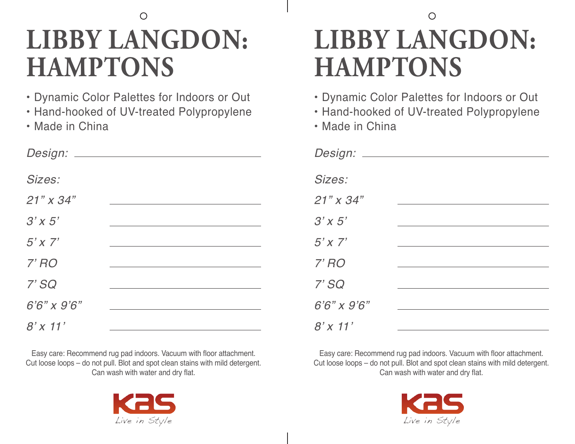# **LIBBY LANGDON: HAMPTONS**

- Dynamic Color Palettes for Indoors or Out
- Hand-hooked of UV-treated Polypropylene
- Made in China

| Design: __           |  |
|----------------------|--|
| Sizes:               |  |
| $21" \times 34"$     |  |
| $3'$ x 5'            |  |
| $5'$ x $7'$          |  |
| $7'$ $RO$            |  |
| 7'SQ                 |  |
| $6'6'' \times 9'6''$ |  |
| $8'$ x 11'           |  |

Easy care: Recommend rug pad indoors. Vacuum with floor attachment. Cut loose loops – do not pull. Blot and spot clean stains with mild detergent. Can wash with water and dry flat.



### $\bigcirc$ **LIBBY LANGDON: HAMPTONS**

- Dynamic Color Palettes for Indoors or Out
- Hand-hooked of UV-treated Polypropylene
- Made in China

| Design: ____      |  |
|-------------------|--|
| Sizes:            |  |
| $21"$ x 34"       |  |
| $3'$ x 5'         |  |
| $5'$ x $7'$       |  |
| $7'$ $RO$         |  |
| 7'SQ              |  |
| $6'6''$ x $9'6''$ |  |
| $8'$ x 11'        |  |

Easy care: Recommend rug pad indoors. Vacuum with floor attachment. Cut loose loops – do not pull. Blot and spot clean stains with mild detergent. Can wash with water and dry flat.

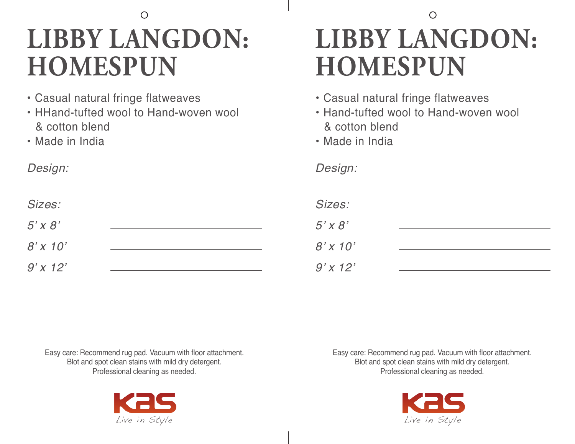### $\bigcirc$ **LIBBY LANGDON: HOMESPUN**

- Casual natural fringe flatweaves
- HHand-tufted wool to Hand-woven wool & cotton blend
- Made in India

#### $\bigcirc$ **LIBBY LANGDON: HOMESPUN**

- Casual natural fringe flatweaves
- Hand-tufted wool to Hand-woven wool & cotton blend
- Made in India

| Sizes:      | Sizes:      |  |
|-------------|-------------|--|
| $5'$ x $8'$ | $5'$ x $8'$ |  |
| $8'$ x 10'  | $8'$ x 10'  |  |
| $9'$ x 12'  | $9'$ x 12'  |  |

Easy care: Recommend rug pad. Vacuum with floor attachment. Blot and spot clean stains with mild dry detergent. Professional cleaning as needed.



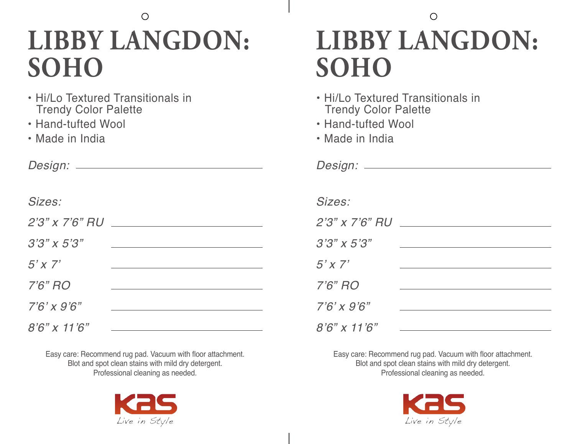#### $\bigcirc$ **LIBBY LANGDON: SOHO**

- Hi/Lo Textured Transitionals in Trendy Color Palette
- Hand-tufted Wool
- Made in India

*Design:*

#### *Sizes:*

| $2'3''$ x $7'6''$ RU  |  |
|-----------------------|--|
| $3'3'' \times 5'3''$  |  |
| $5'$ x $7'$           |  |
| $7'6''$ RO            |  |
| $7'6' \times 9'6''$   |  |
| $8'6'' \times 11'6''$ |  |

Easy care: Recommend rug pad. Vacuum with floor attachment. Blot and spot clean stains with mild dry detergent. Professional cleaning as needed.



#### $\bigcirc$ **LIBBY LANGDON: SOHO**

- Hi/Lo Textured Transitionals in Trendy Color Palette
- Hand-tufted Wool
- Made in India

| Sizes:               |  |
|----------------------|--|
| $2'3''$ x 7'6" RU    |  |
| $3'3'' \times 5'3''$ |  |
| $5'$ x $7'$          |  |
| $7'6''$ RO           |  |
| $7'6' \times 9'6''$  |  |
| $8'6''$ x 11'6"      |  |

*Design:*

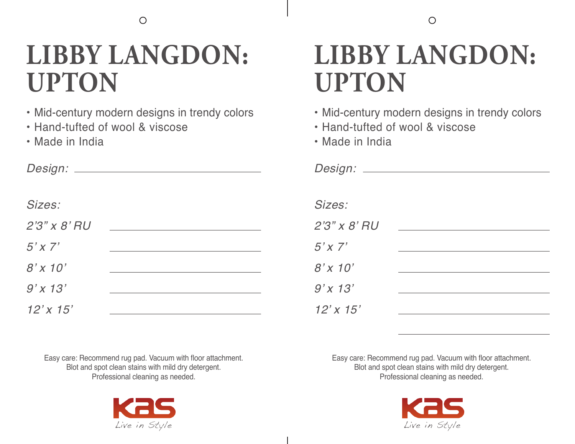## **LIBBY LANGDON: UPTON**

- Mid-century modern designs in trendy colors
- Hand-tufted of wool & viscose
- Made in India

| Design: ____      |  |
|-------------------|--|
|                   |  |
| Sizes:            |  |
| $2'3''$ x $8'$ RU |  |
| $5'$ x $7'$       |  |
| $8'$ x 10'        |  |
| $9'$ x 13'        |  |
| $12'$ x $15'$     |  |

## **LIBBY LANGDON: UPTON**

- Mid-century modern designs in trendy colors
- Hand-tufted of wool & viscose
- Made in India

| Design: ____      |  |
|-------------------|--|
| Sizes:            |  |
| $2'3''$ x $8'$ RU |  |
| $5'$ x 7'         |  |
| $8'$ x 10'        |  |
| $9'$ x 13'        |  |
| $12'$ x $15'$     |  |

Easy care: Recommend rug pad. Vacuum with floor attachment. Blot and spot clean stains with mild dry detergent. Professional cleaning as needed.